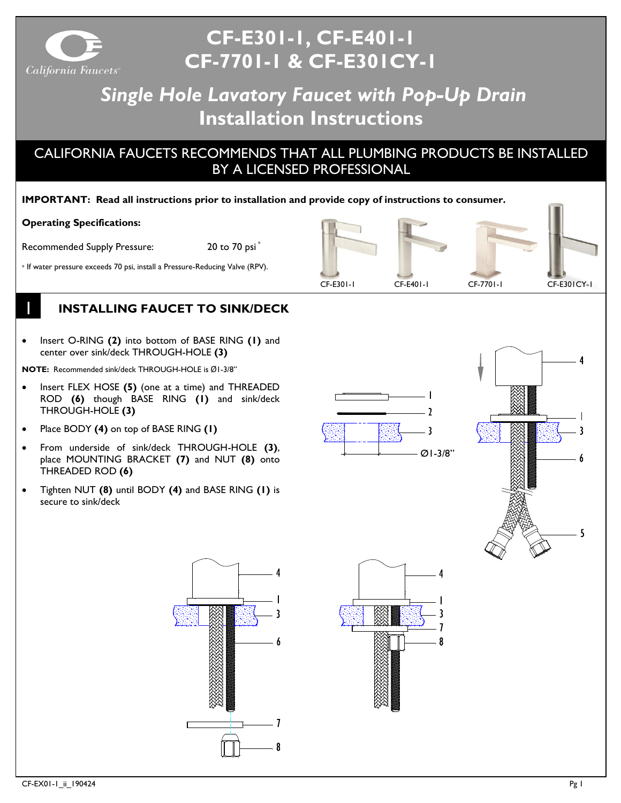

# **CF-E301-1, CF-E401-1 CF-7701-1 & CF-E301CY-1**

# *Single Hole Lavatory Faucet with Pop-Up Drain* **Installation Instructions**

# CALIFORNIA FAUCETS RECOMMENDS THAT ALL PLUMBING PRODUCTS BE INSTALLED BY A LICENSED PROFESSIONAL

#### **IMPORTANT: Read all instructions prior to installation and provide copy of instructions to consumer.**

#### **Operating Specifications:**

1

Recommended Supply Pressure: 20 to 70 psi<sup>\*</sup>

\* If water pressure exceeds 70 psi, install a Pressure-Reducing Valve (RPV).



# **INSTALLING FAUCET TO SINK/DECK**

• Insert O-RING **(2)** into bottom of BASE RING **(1)** and center over sink/deck THROUGH-HOLE **(3)**

**NOTE:** Recommended sink/deck THROUGH-HOLE is Ø1-3/8"

- Insert FLEX HOSE **(5)** (one at a time) and THREADED ROD **(6)** though BASE RING **(1)** and sink/deck THROUGH-HOLE **(3)**
- Place BODY **(4)** on top of BASE RING **(1)**
- From underside of sink/deck THROUGH-HOLE **(3)**, place MOUNTING BRACKET **(7)** and NUT **(8)** onto THREADED ROD **(6)**
- Tighten NUT **(8)** until BODY **(4)** and BASE RING **(1)** is secure to sink/deck